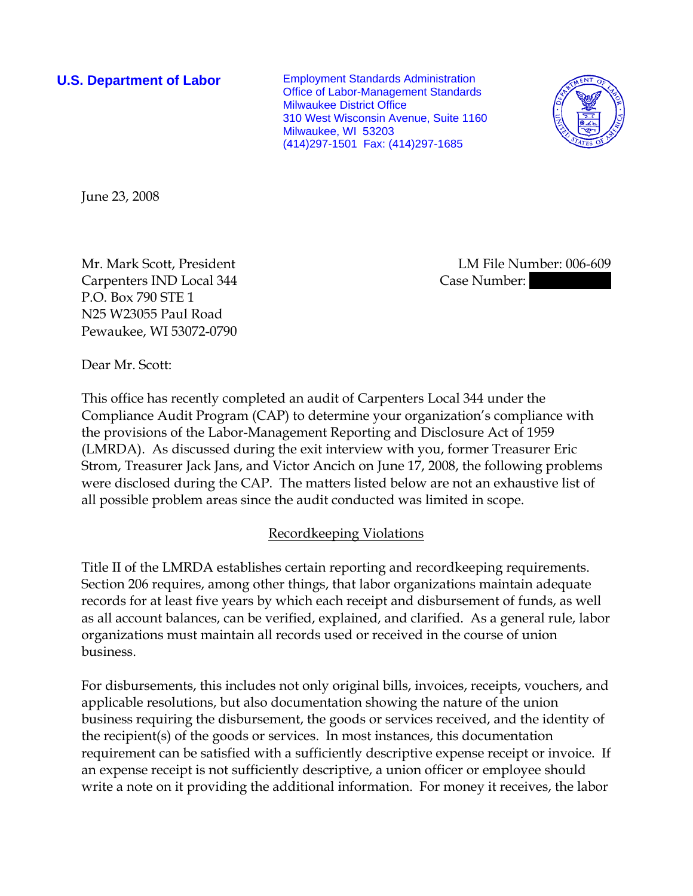**U.S. Department of Labor** Employment Standards Administration Office of Labor-Management Standards Milwaukee District Office 310 West Wisconsin Avenue, Suite 1160 Milwaukee, WI 53203 (414)297-1501 Fax: (414)297-1685



June 23, 2008

Carpenters IND Local 344 Case Number: P.O. Box 790 STE 1 N25 W23055 Paul Road Pewaukee, WI 53072-0790

Mr. Mark Scott, President LM File Number: 006-609

Dear Mr. Scott:

This office has recently completed an audit of Carpenters Local 344 under the Compliance Audit Program (CAP) to determine your organization's compliance with the provisions of the Labor-Management Reporting and Disclosure Act of 1959 (LMRDA). As discussed during the exit interview with you, former Treasurer Eric Strom, Treasurer Jack Jans, and Victor Ancich on June 17, 2008, the following problems were disclosed during the CAP. The matters listed below are not an exhaustive list of all possible problem areas since the audit conducted was limited in scope.

# Recordkeeping Violations

Title II of the LMRDA establishes certain reporting and recordkeeping requirements. Section 206 requires, among other things, that labor organizations maintain adequate records for at least five years by which each receipt and disbursement of funds, as well as all account balances, can be verified, explained, and clarified. As a general rule, labor organizations must maintain all records used or received in the course of union business.

For disbursements, this includes not only original bills, invoices, receipts, vouchers, and applicable resolutions, but also documentation showing the nature of the union business requiring the disbursement, the goods or services received, and the identity of the recipient(s) of the goods or services. In most instances, this documentation requirement can be satisfied with a sufficiently descriptive expense receipt or invoice. If an expense receipt is not sufficiently descriptive, a union officer or employee should write a note on it providing the additional information. For money it receives, the labor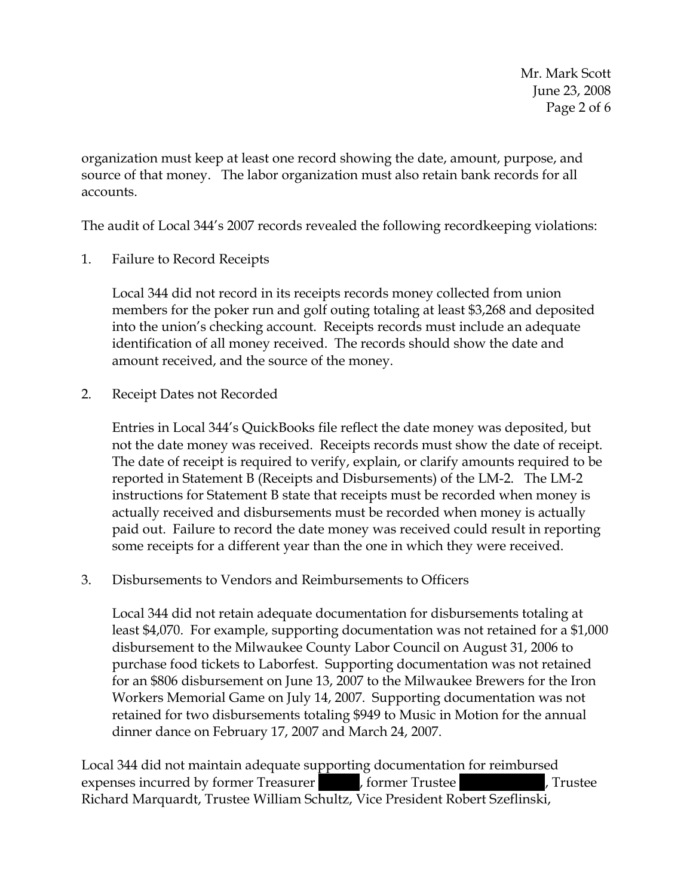Mr. Mark Scott June 23, 2008 Page 2 of 6

organization must keep at least one record showing the date, amount, purpose, and source of that money. The labor organization must also retain bank records for all accounts.

The audit of Local 344's 2007 records revealed the following recordkeeping violations:

1. Failure to Record Receipts

Local 344 did not record in its receipts records money collected from union members for the poker run and golf outing totaling at least \$3,268 and deposited into the union's checking account. Receipts records must include an adequate identification of all money received. The records should show the date and amount received, and the source of the money.

2. Receipt Dates not Recorded

Entries in Local 344's QuickBooks file reflect the date money was deposited, but not the date money was received. Receipts records must show the date of receipt. The date of receipt is required to verify, explain, or clarify amounts required to be reported in Statement B (Receipts and Disbursements) of the LM-2. The LM-2 instructions for Statement B state that receipts must be recorded when money is actually received and disbursements must be recorded when money is actually paid out. Failure to record the date money was received could result in reporting some receipts for a different year than the one in which they were received.

3. Disbursements to Vendors and Reimbursements to Officers

Local 344 did not retain adequate documentation for disbursements totaling at least \$4,070. For example, supporting documentation was not retained for a \$1,000 disbursement to the Milwaukee County Labor Council on August 31, 2006 to purchase food tickets to Laborfest. Supporting documentation was not retained for an \$806 disbursement on June 13, 2007 to the Milwaukee Brewers for the Iron Workers Memorial Game on July 14, 2007. Supporting documentation was not retained for two disbursements totaling \$949 to Music in Motion for the annual dinner dance on February 17, 2007 and March 24, 2007.

Local 344 did not maintain adequate supporting documentation for reimbursed expenses incurred by former Treasurer |||||, former Trustee ||||| |||||, Trustee Richard Marquardt, Trustee William Schultz, Vice President Robert Szeflinski,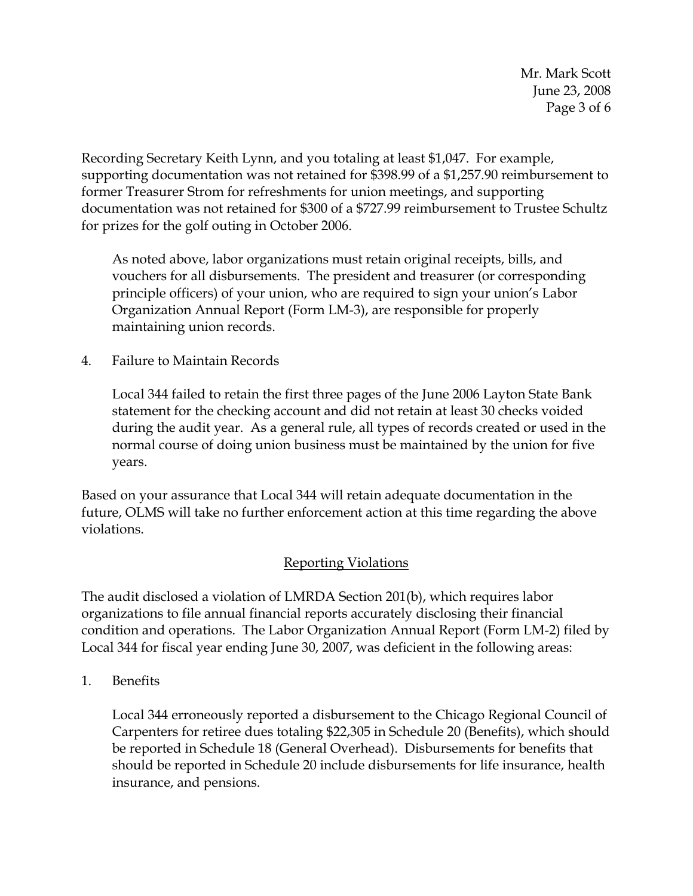Mr. Mark Scott June 23, 2008 Page 3 of 6

Recording Secretary Keith Lynn, and you totaling at least \$1,047. For example, supporting documentation was not retained for \$398.99 of a \$1,257.90 reimbursement to former Treasurer Strom for refreshments for union meetings, and supporting documentation was not retained for \$300 of a \$727.99 reimbursement to Trustee Schultz for prizes for the golf outing in October 2006.

As noted above, labor organizations must retain original receipts, bills, and vouchers for all disbursements. The president and treasurer (or corresponding principle officers) of your union, who are required to sign your union's Labor Organization Annual Report (Form LM-3), are responsible for properly maintaining union records.

4. Failure to Maintain Records

Local 344 failed to retain the first three pages of the June 2006 Layton State Bank statement for the checking account and did not retain at least 30 checks voided during the audit year. As a general rule, all types of records created or used in the normal course of doing union business must be maintained by the union for five years.

Based on your assurance that Local 344 will retain adequate documentation in the future, OLMS will take no further enforcement action at this time regarding the above violations.

#### Reporting Violations

The audit disclosed a violation of LMRDA Section 201(b), which requires labor organizations to file annual financial reports accurately disclosing their financial condition and operations. The Labor Organization Annual Report (Form LM-2) filed by Local 344 for fiscal year ending June 30, 2007, was deficient in the following areas:

1. Benefits

Local 344 erroneously reported a disbursement to the Chicago Regional Council of Carpenters for retiree dues totaling \$22,305 in Schedule 20 (Benefits), which should be reported in Schedule 18 (General Overhead). Disbursements for benefits that should be reported in Schedule 20 include disbursements for life insurance, health insurance, and pensions.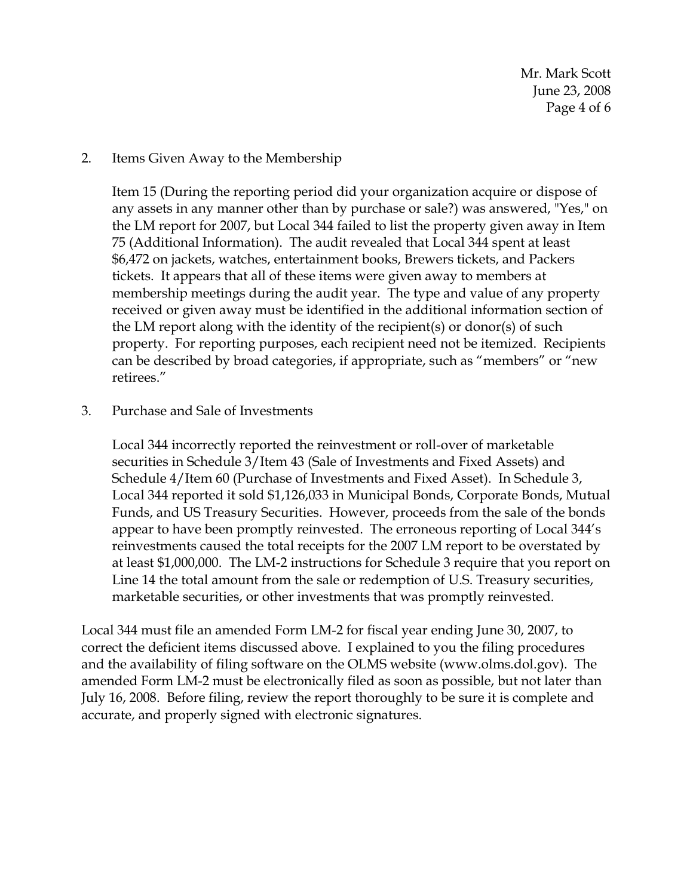#### 2. Items Given Away to the Membership

Item 15 (During the reporting period did your organization acquire or dispose of any assets in any manner other than by purchase or sale?) was answered, "Yes," on the LM report for 2007, but Local 344 failed to list the property given away in Item 75 (Additional Information). The audit revealed that Local 344 spent at least \$6,472 on jackets, watches, entertainment books, Brewers tickets, and Packers tickets. It appears that all of these items were given away to members at membership meetings during the audit year. The type and value of any property received or given away must be identified in the additional information section of the LM report along with the identity of the recipient(s) or donor(s) of such property. For reporting purposes, each recipient need not be itemized. Recipients can be described by broad categories, if appropriate, such as "members" or "new retirees."

#### 3. Purchase and Sale of Investments

Local 344 incorrectly reported the reinvestment or roll-over of marketable securities in Schedule 3/Item 43 (Sale of Investments and Fixed Assets) and Schedule 4/Item 60 (Purchase of Investments and Fixed Asset). In Schedule 3, Local 344 reported it sold \$1,126,033 in Municipal Bonds, Corporate Bonds, Mutual Funds, and US Treasury Securities. However, proceeds from the sale of the bonds appear to have been promptly reinvested. The erroneous reporting of Local 344's reinvestments caused the total receipts for the 2007 LM report to be overstated by at least \$1,000,000. The LM-2 instructions for Schedule 3 require that you report on Line 14 the total amount from the sale or redemption of U.S. Treasury securities, marketable securities, or other investments that was promptly reinvested.

Local 344 must file an amended Form LM-2 for fiscal year ending June 30, 2007, to correct the deficient items discussed above. I explained to you the filing procedures and the availability of filing software on the OLMS website (www.olms.dol.gov). The amended Form LM-2 must be electronically filed as soon as possible, but not later than July 16, 2008. Before filing, review the report thoroughly to be sure it is complete and accurate, and properly signed with electronic signatures.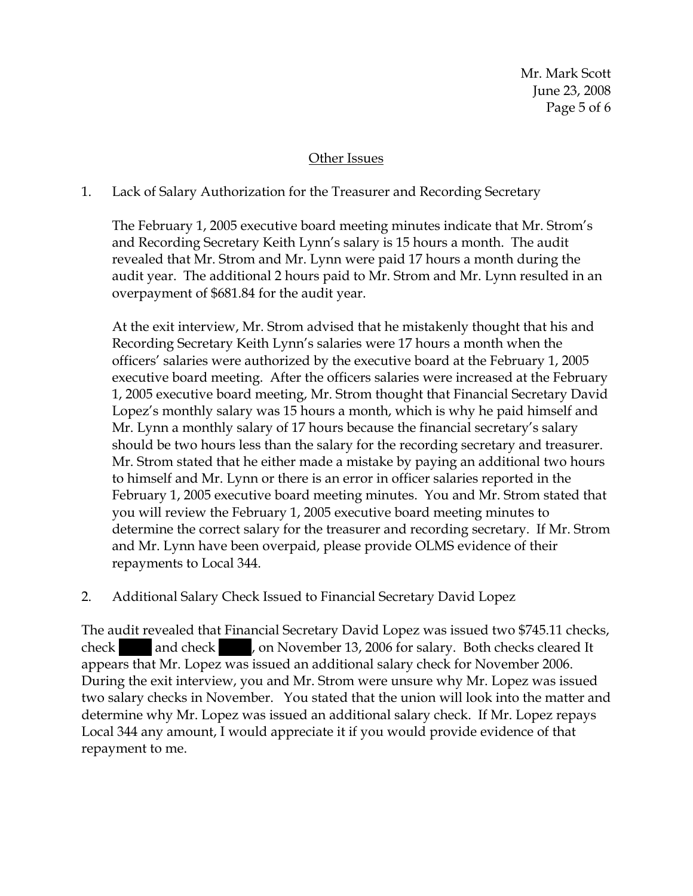Mr. Mark Scott June 23, 2008 Page 5 of 6

## Other Issues

## 1. Lack of Salary Authorization for the Treasurer and Recording Secretary

The February 1, 2005 executive board meeting minutes indicate that Mr. Strom's and Recording Secretary Keith Lynn's salary is 15 hours a month. The audit revealed that Mr. Strom and Mr. Lynn were paid 17 hours a month during the audit year. The additional 2 hours paid to Mr. Strom and Mr. Lynn resulted in an overpayment of \$681.84 for the audit year.

At the exit interview, Mr. Strom advised that he mistakenly thought that his and Recording Secretary Keith Lynn's salaries were 17 hours a month when the officers' salaries were authorized by the executive board at the February 1, 2005 executive board meeting. After the officers salaries were increased at the February 1, 2005 executive board meeting, Mr. Strom thought that Financial Secretary David Lopez's monthly salary was 15 hours a month, which is why he paid himself and Mr. Lynn a monthly salary of 17 hours because the financial secretary's salary should be two hours less than the salary for the recording secretary and treasurer. Mr. Strom stated that he either made a mistake by paying an additional two hours to himself and Mr. Lynn or there is an error in officer salaries reported in the February 1, 2005 executive board meeting minutes. You and Mr. Strom stated that you will review the February 1, 2005 executive board meeting minutes to determine the correct salary for the treasurer and recording secretary. If Mr. Strom and Mr. Lynn have been overpaid, please provide OLMS evidence of their repayments to Local 344.

2. Additional Salary Check Issued to Financial Secretary David Lopez

The audit revealed that Financial Secretary David Lopez was issued two \$745.11 checks, check and check , on November 13, 2006 for salary. Both checks cleared It appears that Mr. Lopez was issued an additional salary check for November 2006. During the exit interview, you and Mr. Strom were unsure why Mr. Lopez was issued two salary checks in November. You stated that the union will look into the matter and determine why Mr. Lopez was issued an additional salary check. If Mr. Lopez repays Local 344 any amount, I would appreciate it if you would provide evidence of that repayment to me.